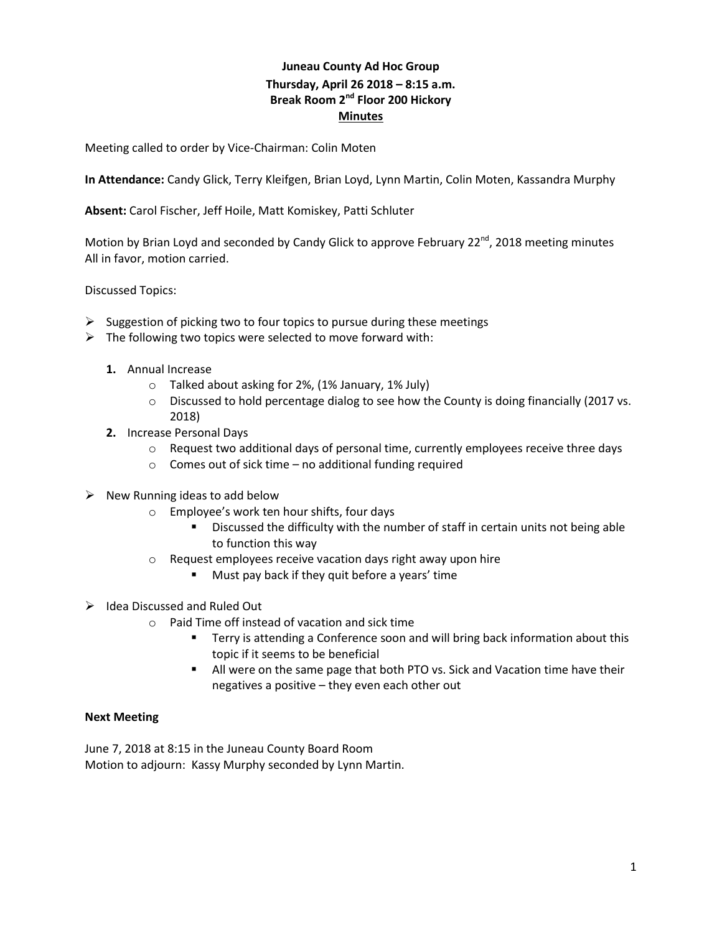## **Juneau County Ad Hoc Group Thursday, April 26 2018 – 8:15 a.m. Break Room 2nd Floor 200 Hickory Minutes**

Meeting called to order by Vice-Chairman: Colin Moten

**In Attendance:** Candy Glick, Terry Kleifgen, Brian Loyd, Lynn Martin, Colin Moten, Kassandra Murphy

**Absent:** Carol Fischer, Jeff Hoile, Matt Komiskey, Patti Schluter

Motion by Brian Loyd and seconded by Candy Glick to approve February  $22^{nd}$ , 2018 meeting minutes All in favor, motion carried.

Discussed Topics:

- $\triangleright$  Suggestion of picking two to four topics to pursue during these meetings
- $\triangleright$  The following two topics were selected to move forward with:
	- **1.** Annual Increase
		- o Talked about asking for 2%, (1% January, 1% July)
		- $\circ$  Discussed to hold percentage dialog to see how the County is doing financially (2017 vs. 2018)
	- **2.** Increase Personal Days
		- $\circ$  Request two additional days of personal time, currently employees receive three days
		- $\circ$  Comes out of sick time no additional funding required
- $\triangleright$  New Running ideas to add below
	- o Employee's work ten hour shifts, four days
		- Discussed the difficulty with the number of staff in certain units not being able to function this way
	- o Request employees receive vacation days right away upon hire
		- **Must pay back if they quit before a years' time**
- $\triangleright$  Idea Discussed and Ruled Out
	- o Paid Time off instead of vacation and sick time
		- **Terry is attending a Conference soon and will bring back information about this** topic if it seems to be beneficial
		- All were on the same page that both PTO vs. Sick and Vacation time have their negatives a positive – they even each other out

## **Next Meeting**

June 7, 2018 at 8:15 in the Juneau County Board Room Motion to adjourn: Kassy Murphy seconded by Lynn Martin.